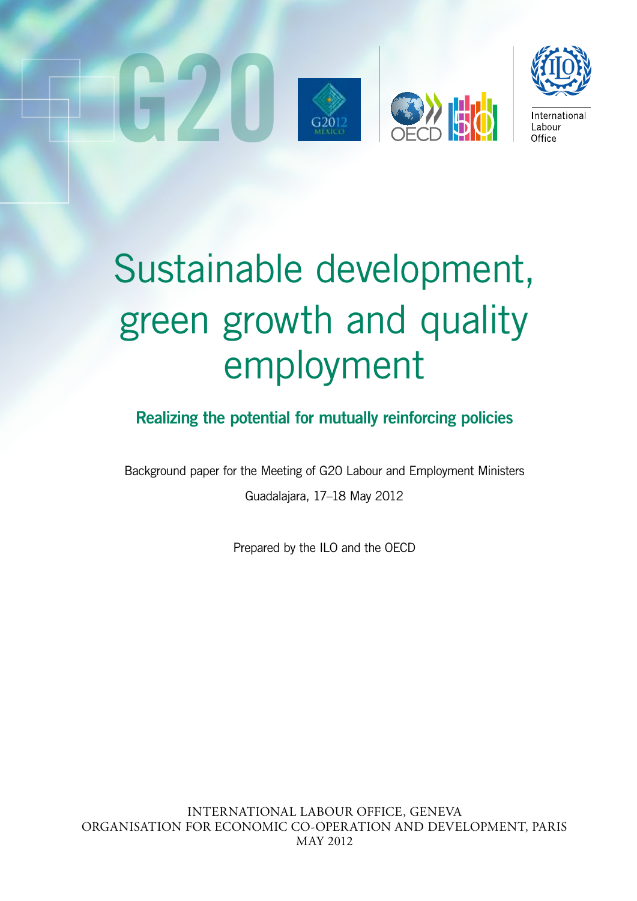



# Sustainable development, green growth and quality employment

# Realizing the potential for mutually reinforcing policies

Background paper for the Meeting of G20 Labour and Employment Ministers Guadalajara, 17–18 May 2012

Prepared by the ILO and the OECD

INTERNATIONAL LABOUR OFFICE, GENEVA ORGANISATION FOR ECONOMIC CO-OPERATION AND DEVELOPMENT, PARIS MAY 2012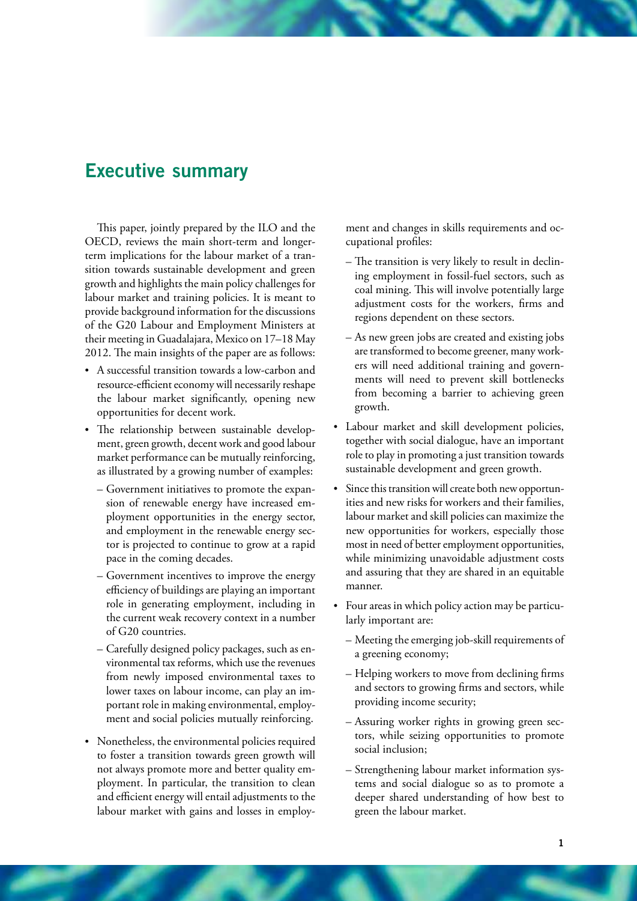# Executive summary

This paper, jointly prepared by the ILO and the OECD, reviews the main short-term and longerterm implications for the labour market of a transition towards sustainable development and green growth and highlights the main policy challenges for labour market and training policies. It is meant to provide background information for the discussions of the G20 Labour and Employment Ministers at their meeting in Guadalajara, Mexico on 17–18 May 2012. The main insights of the paper are as follows:

- • A successful transition towards a low-carbon and resource-efficient economy will necessarily reshape the labour market significantly, opening new opportunities for decent work.
- The relationship between sustainable development, green growth, decent work and good labour market performance can be mutually reinforcing, as illustrated by a growing number of examples:
	- Government initiatives to promote the expansion of renewable energy have increased employment opportunities in the energy sector, and employment in the renewable energy sector is projected to continue to grow at a rapid pace in the coming decades.
	- Government incentives to improve the energy efficiency of buildings are playing an important role in generating employment, including in the current weak recovery context in a number of G20 countries.
	- Carefully designed policy packages, such as environmental tax reforms, which use the revenues from newly imposed environmental taxes to lower taxes on labour income, can play an important role in making environmental, employment and social policies mutually reinforcing.
- • Nonetheless, the environmental policies required to foster a transition towards green growth will not always promote more and better quality employment. In particular, the transition to clean and efficient energy will entail adjustments to the labour market with gains and losses in employ-

ment and changes in skills requirements and occupational profiles:

- The transition is very likely to result in declining employment in fossil-fuel sectors, such as coal mining. This will involve potentially large adjustment costs for the workers, firms and regions dependent on these sectors.
- As new green jobs are created and existing jobs are transformed to become greener, many workers will need additional training and governments will need to prevent skill bottlenecks from becoming a barrier to achieving green growth.
- • Labour market and skill development policies, together with social dialogue, have an important role to play in promoting a just transition towards sustainable development and green growth.
- Since this transition will create both new opportunities and new risks for workers and their families, labour market and skill policies can maximize the new opportunities for workers, especially those most in need of better employment opportunities, while minimizing unavoidable adjustment costs and assuring that they are shared in an equitable manner.
- Four areas in which policy action may be particularly important are:
	- Meeting the emerging job-skill requirements of a greening economy;
	- Helping workers to move from declining firms and sectors to growing firms and sectors, while providing income security;
	- Assuring worker rights in growing green sectors, while seizing opportunities to promote social inclusion;
	- Strengthening labour market information systems and social dialogue so as to promote a deeper shared understanding of how best to green the labour market.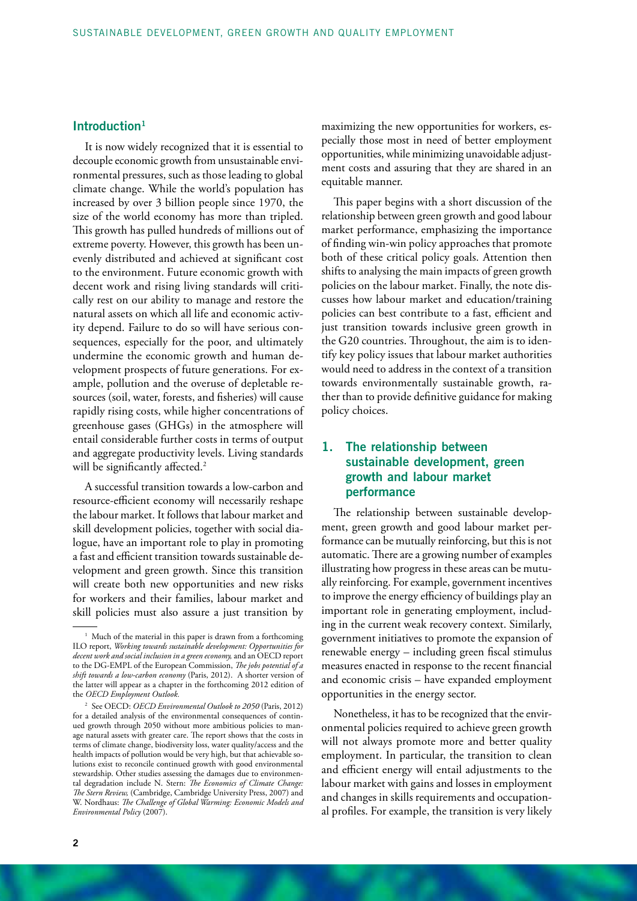# Introduction<sup>1</sup>

It is now widely recognized that it is essential to decouple economic growth from unsustainable environmental pressures, such as those leading to global climate change. While the world's population has increased by over 3 billion people since 1970, the size of the world economy has more than tripled. This growth has pulled hundreds of millions out of extreme poverty. However, this growth has been unevenly distributed and achieved at significant cost to the environment. Future economic growth with decent work and rising living standards will critically rest on our ability to manage and restore the natural assets on which all life and economic activity depend. Failure to do so will have serious consequences, especially for the poor, and ultimately undermine the economic growth and human development prospects of future generations. For example, pollution and the overuse of depletable resources (soil, water, forests, and fisheries) will cause rapidly rising costs, while higher concentrations of greenhouse gases (GHGs) in the atmosphere will entail considerable further costs in terms of output and aggregate productivity levels. Living standards will be significantly affected.<sup>2</sup>

A successful transition towards a low-carbon and resource-efficient economy will necessarily reshape the labour market. It follows that labour market and skill development policies, together with social dialogue, have an important role to play in promoting a fast and efficient transition towards sustainable development and green growth. Since this transition will create both new opportunities and new risks for workers and their families, labour market and skill policies must also assure a just transition by

maximizing the new opportunities for workers, especially those most in need of better employment opportunities, while minimizing unavoidable adjustment costs and assuring that they are shared in an equitable manner.

This paper begins with a short discussion of the relationship between green growth and good labour market performance, emphasizing the importance of finding win-win policy approaches that promote both of these critical policy goals. Attention then shifts to analysing the main impacts of green growth policies on the labour market. Finally, the note discusses how labour market and education/training policies can best contribute to a fast, efficient and just transition towards inclusive green growth in the G20 countries. Throughout, the aim is to identify key policy issues that labour market authorities would need to address in the context of a transition towards environmentally sustainable growth, rather than to provide definitive guidance for making policy choices.

# 1. The relationship between sustainable development, green growth and labour market performance

The relationship between sustainable development, green growth and good labour market performance can be mutually reinforcing, but this is not automatic. There are a growing number of examples illustrating how progress in these areas can be mutually reinforcing. For example, government incentives to improve the energy efficiency of buildings play an important role in generating employment, including in the current weak recovery context. Similarly, government initiatives to promote the expansion of renewable energy – including green fiscal stimulus measures enacted in response to the recent financial and economic crisis – have expanded employment opportunities in the energy sector.

Nonetheless, it has to be recognized that the environmental policies required to achieve green growth will not always promote more and better quality employment. In particular, the transition to clean and efficient energy will entail adjustments to the labour market with gains and losses in employment and changes in skills requirements and occupational profiles. For example, the transition is very likely

<sup>&</sup>lt;sup>1</sup> Much of the material in this paper is drawn from a forthcoming ILO report, *Working towards sustainable development: Opportunities for decent work and social inclusion in a green economy,* and an OECD report to the DG-EMPL of the European Commission, *The jobs potential of a shift towards a low-carbon economy* (Paris, 2012). A shorter version of the latter will appear as a chapter in the forthcoming 2012 edition of the *OECD Employment Outlook.*

<sup>2</sup> See OECD: *OECD Environmental Outlook to 2050* (Paris, 2012) for a detailed analysis of the environmental consequences of continued growth through 2050 without more ambitious policies to manage natural assets with greater care. The report shows that the costs in terms of climate change, biodiversity loss, water quality/access and the health impacts of pollution would be very high, but that achievable solutions exist to reconcile continued growth with good environmental stewardship. Other studies assessing the damages due to environmental degradation include N. Stern: *The Economics of Climate Change: The Stern Review,* (Cambridge, Cambridge University Press, 2007) and W. Nordhaus: *The Challenge of Global Warming: Economic Models and Environmental Policy* (2007).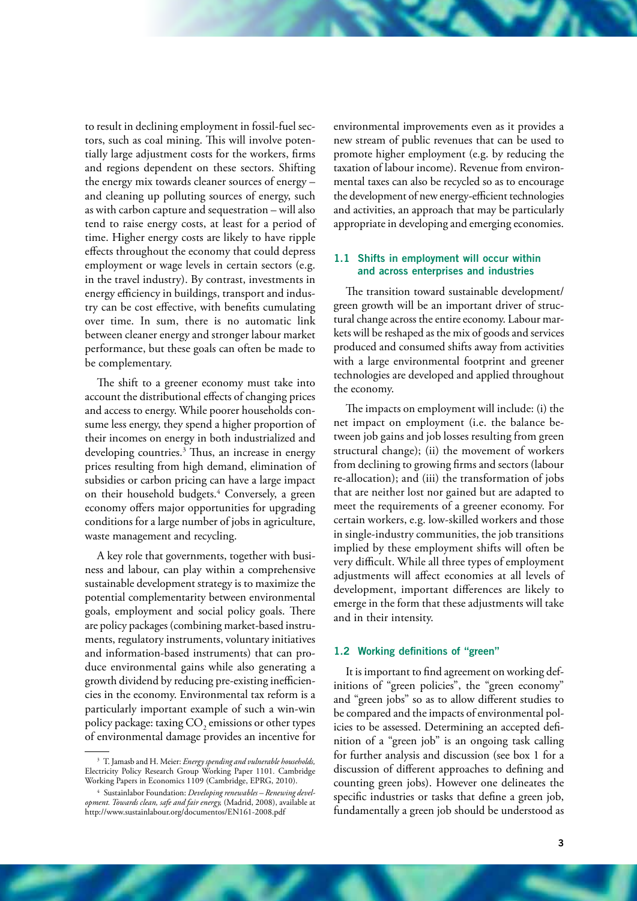to result in declining employment in fossil-fuel sectors, such as coal mining. This will involve potentially large adjustment costs for the workers, firms and regions dependent on these sectors. Shifting the energy mix towards cleaner sources of energy – and cleaning up polluting sources of energy, such as with carbon capture and sequestration – will also tend to raise energy costs, at least for a period of time. Higher energy costs are likely to have ripple effects throughout the economy that could depress employment or wage levels in certain sectors (e.g. in the travel industry). By contrast, investments in energy efficiency in buildings, transport and industry can be cost effective, with benefits cumulating over time. In sum, there is no automatic link between cleaner energy and stronger labour market performance, but these goals can often be made to be complementary.

The shift to a greener economy must take into account the distributional effects of changing prices and access to energy. While poorer households consume less energy, they spend a higher proportion of their incomes on energy in both industrialized and developing countries.<sup>3</sup> Thus, an increase in energy prices resulting from high demand, elimination of subsidies or carbon pricing can have a large impact on their household budgets.<sup>4</sup> Conversely, a green economy offers major opportunities for upgrading conditions for a large number of jobs in agriculture, waste management and recycling.

A key role that governments, together with business and labour, can play within a comprehensive sustainable development strategy is to maximize the potential complementarity between environmental goals, employment and social policy goals. There are policy packages (combining market-based instruments, regulatory instruments, voluntary initiatives and information-based instruments) that can produce environmental gains while also generating a growth dividend by reducing pre-existing inefficiencies in the economy. Environmental tax reform is a particularly important example of such a win-win policy package: taxing  $\mathrm{CO}_2$  emissions or other types of environmental damage provides an incentive for

environmental improvements even as it provides a new stream of public revenues that can be used to promote higher employment (e.g. by reducing the taxation of labour income). Revenue from environmental taxes can also be recycled so as to encourage the development of new energy-efficient technologies and activities, an approach that may be particularly appropriate in developing and emerging economies.

## 1.1 Shifts in employment will occur within and across enterprises and industries

The transition toward sustainable development/ green growth will be an important driver of structural change across the entire economy. Labour markets will be reshaped as the mix of goods and services produced and consumed shifts away from activities with a large environmental footprint and greener technologies are developed and applied throughout the economy.

The impacts on employment will include: (i) the net impact on employment (i.e. the balance between job gains and job losses resulting from green structural change); (ii) the movement of workers from declining to growing firms and sectors (labour re-allocation); and (iii) the transformation of jobs that are neither lost nor gained but are adapted to meet the requirements of a greener economy. For certain workers, e.g. low-skilled workers and those in single-industry communities, the job transitions implied by these employment shifts will often be very difficult. While all three types of employment adjustments will affect economies at all levels of development, important differences are likely to emerge in the form that these adjustments will take and in their intensity.

#### 1.2 Working definitions of "green"

It is important to find agreement on working definitions of "green policies", the "green economy" and "green jobs" so as to allow different studies to be compared and the impacts of environmental policies to be assessed. Determining an accepted definition of a "green job" is an ongoing task calling for further analysis and discussion (see box 1 for a discussion of different approaches to defining and counting green jobs). However one delineates the specific industries or tasks that define a green job, fundamentally a green job should be understood as

<sup>3</sup> T. Jamasb and H. Meier: *Energy spending and vulnerable households,*  Electricity Policy Research Group Working Paper 1101*.* Cambridge Working Papers in Economics 1109 (Cambridge, EPRG, 2010).

<sup>4</sup> Sustainlabor Foundation: *Developing renewables – Renewing development. Towards clean, safe and fair energy,* (Madrid, 2008), available at http://www.sustainlabour.org/documentos/EN161-2008.pdf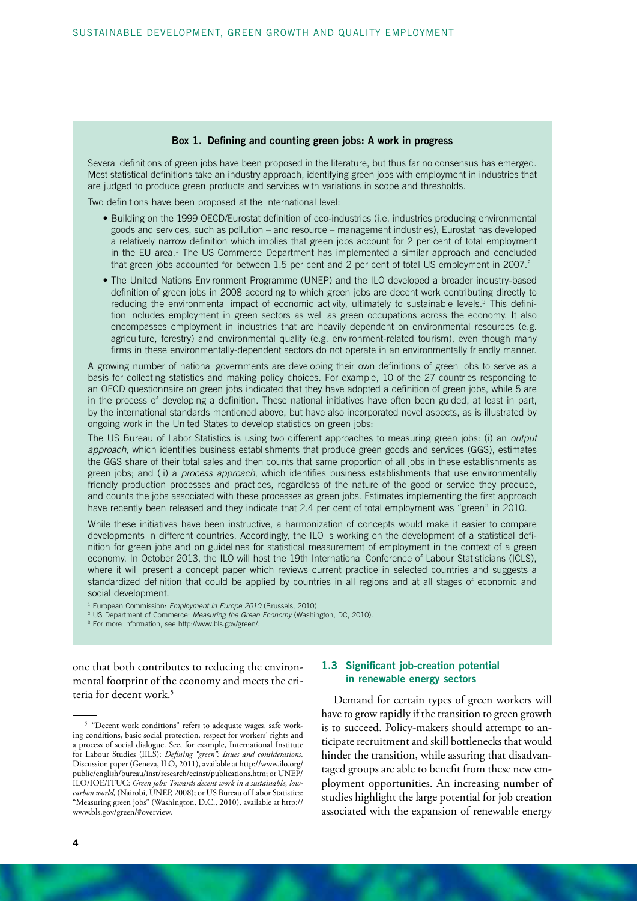#### Box 1. Defining and counting green jobs: A work in progress

Several definitions of green jobs have been proposed in the literature, but thus far no consensus has emerged. Most statistical definitions take an industry approach, identifying green jobs with employment in industries that are judged to produce green products and services with variations in scope and thresholds.

Two definitions have been proposed at the international level:

- Building on the 1999 OECD/Eurostat definition of eco-industries (i.e. industries producing environmental goods and services, such as pollution – and resource – management industries), Eurostat has developed a relatively narrow definition which implies that green jobs account for 2 per cent of total employment in the EU area.<sup>1</sup> The US Commerce Department has implemented a similar approach and concluded that green jobs accounted for between 1.5 per cent and 2 per cent of total US employment in 2007.<sup>2</sup>
- The United Nations Environment Programme (UNEP) and the ILO developed a broader industry-based definition of green jobs in 2008 according to which green jobs are decent work contributing directly to reducing the environmental impact of economic activity, ultimately to sustainable levels.<sup>3</sup> This definition includes employment in green sectors as well as green occupations across the economy. It also encompasses employment in industries that are heavily dependent on environmental resources (e.g. agriculture, forestry) and environmental quality (e.g. environment-related tourism), even though many firms in these environmentally-dependent sectors do not operate in an environmentally friendly manner.

A growing number of national governments are developing their own definitions of green jobs to serve as a basis for collecting statistics and making policy choices. For example, 10 of the 27 countries responding to an OECD questionnaire on green jobs indicated that they have adopted a definition of green jobs, while 5 are in the process of developing a definition. These national initiatives have often been guided, at least in part, by the international standards mentioned above, but have also incorporated novel aspects, as is illustrated by ongoing work in the United States to develop statistics on green jobs:

The US Bureau of Labor Statistics is using two different approaches to measuring green jobs: (i) an *output approach,* which identifies business establishments that produce green goods and services (GGS), estimates the GGS share of their total sales and then counts that same proportion of all jobs in these establishments as green jobs; and (ii) a *process approach*, which identifies business establishments that use environmentally friendly production processes and practices, regardless of the nature of the good or service they produce, and counts the jobs associated with these processes as green jobs. Estimates implementing the first approach have recently been released and they indicate that 2.4 per cent of total employment was "green" in 2010.

While these initiatives have been instructive, a harmonization of concepts would make it easier to compare developments in different countries. Accordingly, the ILO is working on the development of a statistical definition for green jobs and on guidelines for statistical measurement of employment in the context of a green economy. In October 2013, the ILO will host the 19th International Conference of Labour Statisticians (ICLS), where it will present a concept paper which reviews current practice in selected countries and suggests a standardized definition that could be applied by countries in all regions and at all stages of economic and social development.

<sup>1</sup> European Commission: *Employment in Europe 2010* (Brussels, 2010).

2 US Department of Commerce: *Measuring the Green Economy* (Washington, DC, 2010).

3 For more information, see http://www.bls.gov/green/.

one that both contributes to reducing the environmental footprint of the economy and meets the criteria for decent work.5

#### 1.3 Significant job-creation potential in renewable energy sectors

Demand for certain types of green workers will have to grow rapidly if the transition to green growth is to succeed. Policy-makers should attempt to anticipate recruitment and skill bottlenecks that would hinder the transition, while assuring that disadvantaged groups are able to benefit from these new employment opportunities. An increasing number of studies highlight the large potential for job creation associated with the expansion of renewable energy

<sup>5</sup> "Decent work conditions" refers to adequate wages, safe working conditions, basic social protection, respect for workers' rights and a process of social dialogue. See, for example, International Institute for Labour Studies (IILS): *Defining "green": Issues and considerations,* Discussion paper (Geneva, ILO, 2011), available at http://www.ilo.org/ public/english/bureau/inst/research/ecinst/publications.htm; or UNEP/ ILO/IOE/ITUC: *Green jobs: Towards decent work in a sustainable, lowcarbon world,* (Nairobi, UNEP, 2008); or US Bureau of Labor Statistics: "Measuring green jobs" (Washington, D.C., 2010), available at http:// www.bls.gov/green/#overview.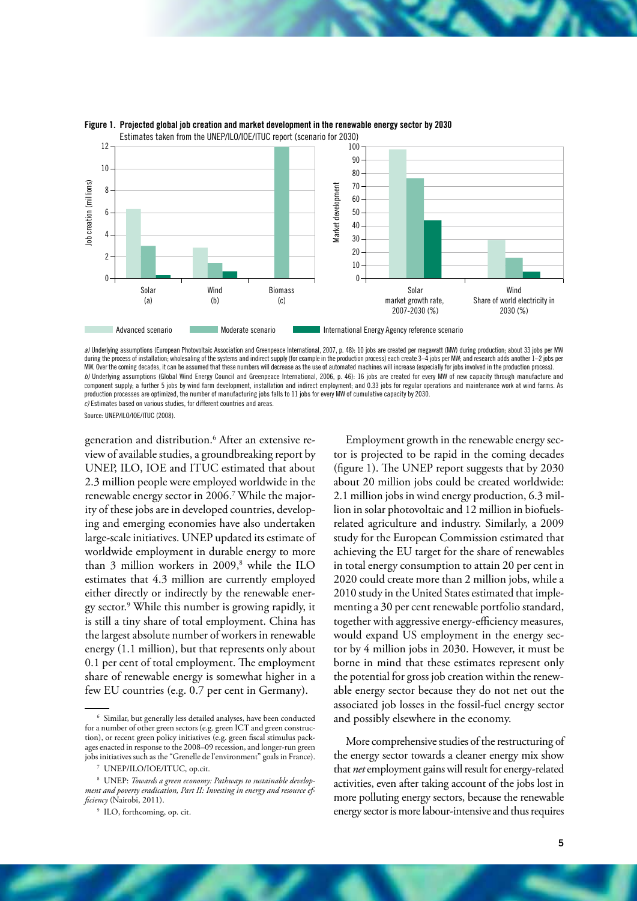

#### Figure 1. Projected global job creation and market development in the renewable energy sector by 2030 Estimates taken from the UNEP/ILO/IOE/ITUC report (scenario for 2030)

a) Underlying assumptions (European Photovoltaic Association and Greenpeace International, 2007, p. 48): 10 jobs are created per megawatt (MW) during production; about 33 jobs per MW<br>during the process of installation; who MW. Over the coming decades, it can be assumed that these numbers will decrease as the use of automated machines will increase (especially for jobs involved in the production process). *b)* Underlying assumptions (Global Wind Energy Council and Greenpeace International, 2006, p. 46): 16 jobs are created for every MW of new capacity through manufacture and component supply; a further 5 jobs by wind farm development, installation and indirect employment; and 0.33 jobs for regular operations and maintenance work at wind farms. As production processes are optimized, the number of manufacturing jobs falls to 11 jobs for every MW of cumulative capacity by 2030. *c)* Estimates based on various studies, for different countries and areas.

Source: UNEP/ILO/IOE/ITUC (2008)

generation and distribution.6 After an extensive review of available studies, a groundbreaking report by UNEP, ILO, IOE and ITUC estimated that about 2.3 million people were employed worldwide in the renewable energy sector in 2006.7 While the majority of these jobs are in developed countries, developing and emerging economies have also undertaken large-scale initiatives. UNEP updated its estimate of worldwide employment in durable energy to more than 3 million workers in 2009,<sup>8</sup> while the ILO estimates that 4.3 million are currently employed either directly or indirectly by the renewable energy sector.9 While this number is growing rapidly, it is still a tiny share of total employment. China has the largest absolute number of workers in renewable energy (1.1 million), but that represents only about 0.1 per cent of total employment. The employment share of renewable energy is somewhat higher in a few EU countries (e.g. 0.7 per cent in Germany).

Employment growth in the renewable energy sector is projected to be rapid in the coming decades (figure 1). The UNEP report suggests that by 2030 about 20 million jobs could be created worldwide: 2.1 million jobs in wind energy production, 6.3 million in solar photovoltaic and 12 million in biofuelsrelated agriculture and industry. Similarly, a 2009 study for the European Commission estimated that achieving the EU target for the share of renewables in total energy consumption to attain 20 per cent in 2020 could create more than 2 million jobs, while a 2010 study in the United States estimated that implementing a 30 per cent renewable portfolio standard, together with aggressive energy-efficiency measures, would expand US employment in the energy sector by 4 million jobs in 2030. However, it must be borne in mind that these estimates represent only the potential for gross job creation within the renewable energy sector because they do not net out the associated job losses in the fossil-fuel energy sector and possibly elsewhere in the economy.

More comprehensive studies of the restructuring of the energy sector towards a cleaner energy mix show that *net* employment gains will result for energy-related activities, even after taking account of the jobs lost in more polluting energy sectors, because the renewable energy sector is more labour-intensive and thus requires

<sup>6</sup> Similar, but generally less detailed analyses, have been conducted for a number of other green sectors (e.g. green ICT and green construction), or recent green policy initiatives (e.g. green fiscal stimulus packages enacted in response to the 2008–09 recession, and longer-run green jobs initiatives such as the "Grenelle de l'environment" goals in France).

<sup>7</sup> UNEP/ILO/IOE/ITUC, op.cit.

<sup>8</sup> UNEP: *Towards a green economy: Pathways to sustainable development and poverty eradication, Part II: Investing in energy and resource efficiency* (Nairobi, 2011).

<sup>9</sup> ILO, forthcoming, op. cit.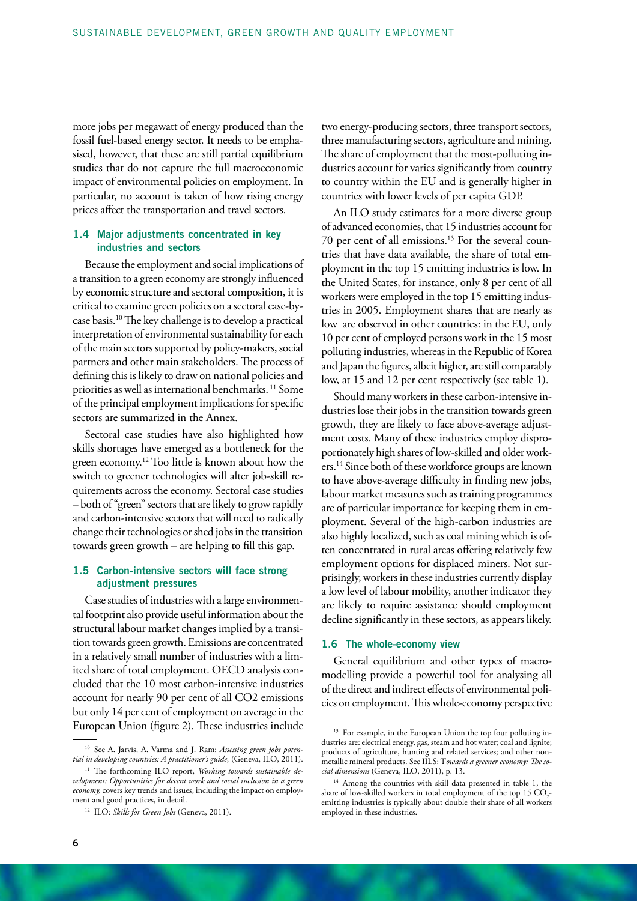more jobs per megawatt of energy produced than the fossil fuel-based energy sector. It needs to be emphasised, however, that these are still partial equilibrium studies that do not capture the full macroeconomic impact of environmental policies on employment. In particular, no account is taken of how rising energy prices affect the transportation and travel sectors.

#### 1.4 Major adjustments concentrated in key industries and sectors

Because the employment and social implications of a transition to a green economy are strongly influenced by economic structure and sectoral composition, it is critical to examine green policies on a sectoral case-bycase basis.10 The key challenge is to develop a practical interpretation of environmental sustainability for each of the main sectors supported by policy-makers, social partners and other main stakeholders. The process of defining this is likely to draw on national policies and priorities as well as international benchmarks. 11 Some of the principal employment implications for specific sectors are summarized in the Annex.

Sectoral case studies have also highlighted how skills shortages have emerged as a bottleneck for the green economy.12 Too little is known about how the switch to greener technologies will alter job-skill requirements across the economy. Sectoral case studies – both of "green" sectors that are likely to grow rapidly and carbon-intensive sectors that will need to radically change their technologies or shed jobs in the transition towards green growth – are helping to fill this gap.

## 1.5 Carbon-intensive sectors will face strong adjustment pressures

Case studies of industries with a large environmental footprint also provide useful information about the structural labour market changes implied by a transition towards green growth. Emissions are concentrated in a relatively small number of industries with a limited share of total employment. OECD analysis concluded that the 10 most carbon-intensive industries account for nearly 90 per cent of all CO2 emissions but only 14 per cent of employment on average in the European Union (figure 2). These industries include

6

two energy-producing sectors, three transport sectors, three manufacturing sectors, agriculture and mining. The share of employment that the most-polluting industries account for varies significantly from country to country within the EU and is generally higher in countries with lower levels of per capita GDP.

An ILO study estimates for a more diverse group of advanced economies, that 15 industries account for 70 per cent of all emissions.13 For the several countries that have data available, the share of total employment in the top 15 emitting industries is low. In the United States, for instance, only 8 per cent of all workers were employed in the top 15 emitting industries in 2005. Employment shares that are nearly as low are observed in other countries: in the EU, only 10 per cent of employed persons work in the 15 most polluting industries, whereas in the Republic of Korea and Japan the figures, albeit higher, are still comparably low, at 15 and 12 per cent respectively (see table 1).

Should many workers in these carbon-intensive industries lose their jobs in the transition towards green growth, they are likely to face above-average adjustment costs. Many of these industries employ disproportionately high shares of low-skilled and older workers.14 Since both of these workforce groups are known to have above-average difficulty in finding new jobs, labour market measures such as training programmes are of particular importance for keeping them in employment. Several of the high-carbon industries are also highly localized, such as coal mining which is often concentrated in rural areas offering relatively few employment options for displaced miners. Not surprisingly, workers in these industries currently display a low level of labour mobility, another indicator they are likely to require assistance should employment decline significantly in these sectors, as appears likely.

#### 1.6 The whole-economy view

General equilibrium and other types of macromodelling provide a powerful tool for analysing all of the direct and indirect effects of environmental policies on employment. This whole-economy perspective

<sup>10</sup> See A. Jarvis, A. Varma and J. Ram: *Assessing green jobs potential in developing countries: A practitioner's guide,* (Geneva, ILO, 2011).

<sup>&</sup>lt;sup>11</sup> The forthcoming ILO report, *Working towards sustainable development: Opportunities for decent work and social inclusion in a green economy,* covers key trends and issues, including the impact on employment and good practices, in detail.

<sup>12</sup> ILO: *Skills for Green Jobs* (Geneva, 2011).

<sup>&</sup>lt;sup>13</sup> For example, in the European Union the top four polluting industries are: electrical energy, gas, steam and hot water; coal and lignite; products of agriculture, hunting and related services; and other nonmetallic mineral products. See IILS: T*owards a greener economy: The social dimensions* (Geneva, ILO, 2011), p. 13.

<sup>&</sup>lt;sup>14</sup> Among the countries with skill data presented in table 1, the share of low-skilled workers in total employment of the top  $15 \text{ CO}_2$ . emitting industries is typically about double their share of all workers employed in these industries.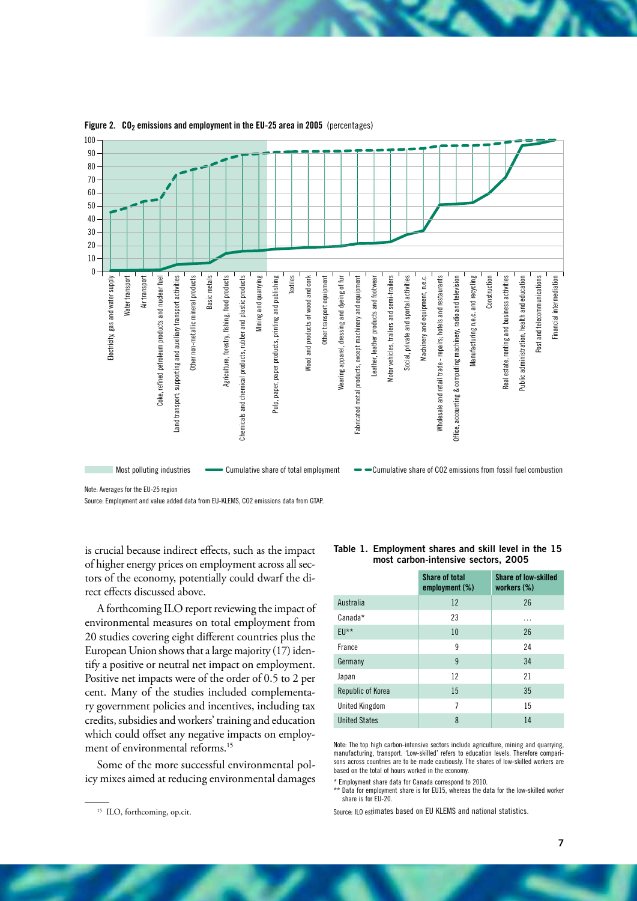

#### Figure 2.  $CO<sub>2</sub>$  emissions and employment in the EU-25 area in 2005 (percentages)

Note: Averages for the EU-25 region

Source: Employment and value added data from EU-KLEMS, CO2 emissions data from GTAP.

is crucial because indirect effects, such as the impact of higher energy prices on employment across all sectors of the economy, potentially could dwarf the direct effects discussed above.

A forthcoming ILO report reviewing the impact of environmental measures on total employment from 20 studies covering eight different countries plus the European Union shows that a large majority (17) identify a positive or neutral net impact on employment. Positive net impacts were of the order of 0.5 to 2 per cent. Many of the studies included complementary government policies and incentives, including tax credits, subsidies and workers' training and education which could offset any negative impacts on employment of environmental reforms.<sup>15</sup>

Some of the more successful environmental policy mixes aimed at reducing environmental damages

| Table 1. Employment shares and skill level in the 15 |
|------------------------------------------------------|
| most carbon-intensive sectors, 2005                  |

|                       | <b>Share of total</b><br>employment $(\%)$ | <b>Share of low-skilled</b><br>workers (%) |
|-----------------------|--------------------------------------------|--------------------------------------------|
| Australia             | 12                                         | 26                                         |
| Canada*               | 23                                         | .                                          |
| $EU**$                | 10                                         | 26                                         |
| France                | 9                                          | 24                                         |
| Germany               | 9                                          | 34                                         |
| Japan                 | 12                                         | 21                                         |
| Republic of Korea     | 15                                         | 35                                         |
| <b>United Kingdom</b> | 7                                          | 15                                         |
| <b>United States</b>  | 8                                          | 14                                         |

Note: The top high carbon-intensive sectors include agriculture, mining and quarrying, manufacturing, transport. 'Low-skilled' refers to education levels. Therefore comparisons across countries are to be made cautiously. The shares of low-skilled workers are based on the total of hours worked in the economy.

\* Employment share data for Canada correspond to 2010.

Data for employment share is for EU15, whereas the data for the low-skilled worker share is for EU-20.

Source: ILO estimates based on EU KLEMS and national statistics.

<sup>&</sup>lt;sup>15</sup> ILO, forthcoming, op.cit.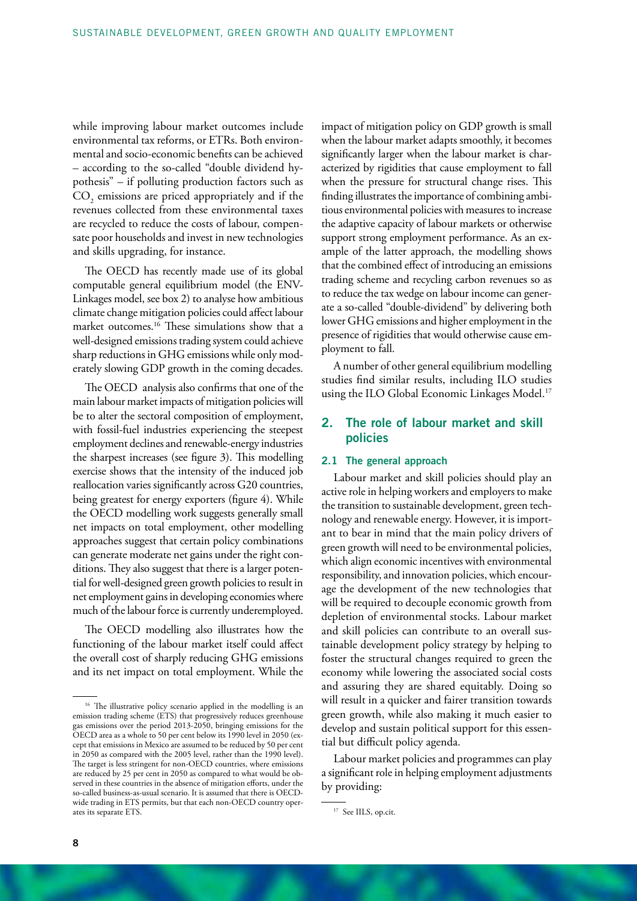while improving labour market outcomes include environmental tax reforms, or ETRs. Both environmental and socio-economic benefits can be achieved – according to the so-called "double dividend hypothesis" – if polluting production factors such as  $\mathrm{CO}_2$  emissions are priced appropriately and if the revenues collected from these environmental taxes are recycled to reduce the costs of labour, compensate poor households and invest in new technologies and skills upgrading, for instance.

The OECD has recently made use of its global computable general equilibrium model (the ENV-Linkages model, see box 2) to analyse how ambitious climate change mitigation policies could affect labour market outcomes.16 These simulations show that a well-designed emissions trading system could achieve sharp reductions in GHG emissions while only moderately slowing GDP growth in the coming decades.

The OECD analysis also confirms that one of the main labour market impacts of mitigation policies will be to alter the sectoral composition of employment, with fossil-fuel industries experiencing the steepest employment declines and renewable-energy industries the sharpest increases (see figure 3). This modelling exercise shows that the intensity of the induced job reallocation varies significantly across G20 countries, being greatest for energy exporters (figure 4). While the OECD modelling work suggests generally small net impacts on total employment, other modelling approaches suggest that certain policy combinations can generate moderate net gains under the right conditions. They also suggest that there is a larger potential for well-designed green growth policies to result in net employment gains in developing economies where much of the labour force is currently underemployed.

The OECD modelling also illustrates how the functioning of the labour market itself could affect the overall cost of sharply reducing GHG emissions and its net impact on total employment. While the impact of mitigation policy on GDP growth is small when the labour market adapts smoothly, it becomes significantly larger when the labour market is characterized by rigidities that cause employment to fall when the pressure for structural change rises. This finding illustrates the importance of combining ambitious environmental policies with measures to increase the adaptive capacity of labour markets or otherwise support strong employment performance. As an example of the latter approach, the modelling shows that the combined effect of introducing an emissions trading scheme and recycling carbon revenues so as to reduce the tax wedge on labour income can generate a so-called "double-dividend" by delivering both lower GHG emissions and higher employment in the presence of rigidities that would otherwise cause employment to fall.

A number of other general equilibrium modelling studies find similar results, including ILO studies using the ILO Global Economic Linkages Model.<sup>17</sup>

# 2. The role of labour market and skill policies

#### 2.1 The general approach

Labour market and skill policies should play an active role in helping workers and employers to make the transition to sustainable development, green technology and renewable energy. However, it is important to bear in mind that the main policy drivers of green growth will need to be environmental policies, which align economic incentives with environmental responsibility, and innovation policies, which encourage the development of the new technologies that will be required to decouple economic growth from depletion of environmental stocks. Labour market and skill policies can contribute to an overall sustainable development policy strategy by helping to foster the structural changes required to green the economy while lowering the associated social costs and assuring they are shared equitably. Doing so will result in a quicker and fairer transition towards green growth, while also making it much easier to develop and sustain political support for this essential but difficult policy agenda.

Labour market policies and programmes can play a significant role in helping employment adjustments by providing:

<sup>&</sup>lt;sup>16</sup> The illustrative policy scenario applied in the modelling is an emission trading scheme (ETS) that progressively reduces greenhouse gas emissions over the period 2013-2050, bringing emissions for the OECD area as a whole to 50 per cent below its 1990 level in 2050 (except that emissions in Mexico are assumed to be reduced by 50 per cent in 2050 as compared with the 2005 level, rather than the 1990 level). The target is less stringent for non-OECD countries, where emissions are reduced by 25 per cent in 2050 as compared to what would be observed in these countries in the absence of mitigation efforts, under the so-called business-as-usual scenario. It is assumed that there is OECDwide trading in ETS permits, but that each non-OECD country operates its separate ETS.

<sup>&</sup>lt;sup>17</sup> See IILS, op.cit.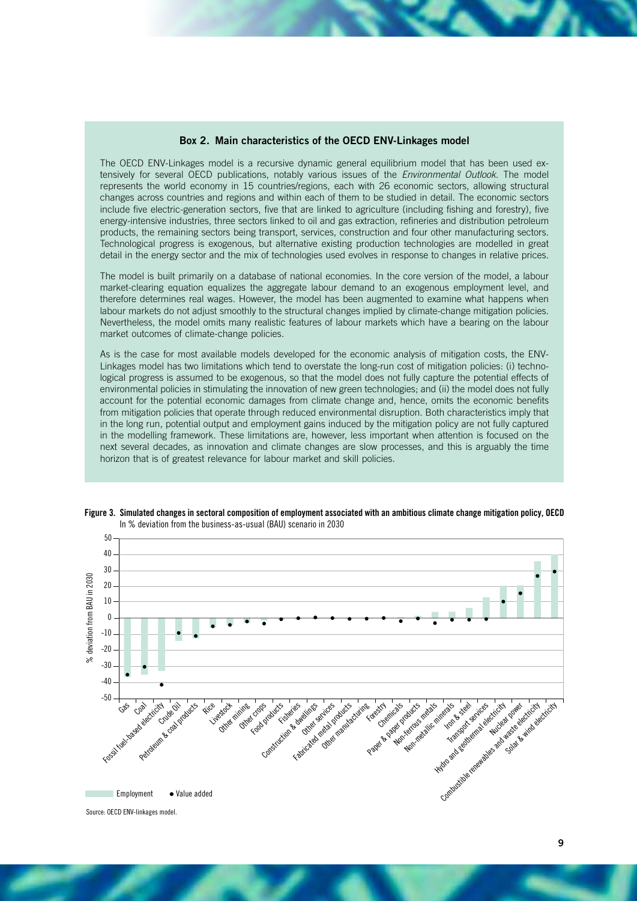#### Box 2. Main characteristics of the OECD ENV-Linkages model

The OECD ENV-Linkages model is a recursive dynamic general equilibrium model that has been used extensively for several OECD publications, notably various issues of the *Environmental Outlook*. The model represents the world economy in 15 countries/regions, each with 26 economic sectors, allowing structural changes across countries and regions and within each of them to be studied in detail. The economic sectors include five electric-generation sectors, five that are linked to agriculture (including fishing and forestry), five energy-intensive industries, three sectors linked to oil and gas extraction, refineries and distribution petroleum products, the remaining sectors being transport, services, construction and four other manufacturing sectors. Technological progress is exogenous, but alternative existing production technologies are modelled in great detail in the energy sector and the mix of technologies used evolves in response to changes in relative prices.

The model is built primarily on a database of national economies. In the core version of the model, a labour market-clearing equation equalizes the aggregate labour demand to an exogenous employment level, and therefore determines real wages. However, the model has been augmented to examine what happens when labour markets do not adjust smoothly to the structural changes implied by climate-change mitigation policies. Nevertheless, the model omits many realistic features of labour markets which have a bearing on the labour market outcomes of climate-change policies.

As is the case for most available models developed for the economic analysis of mitigation costs, the ENV-Linkages model has two limitations which tend to overstate the long-run cost of mitigation policies: (i) technological progress is assumed to be exogenous, so that the model does not fully capture the potential effects of environmental policies in stimulating the innovation of new green technologies; and (ii) the model does not fully account for the potential economic damages from climate change and, hence, omits the economic benefits from mitigation policies that operate through reduced environmental disruption. Both characteristics imply that in the long run, potential output and employment gains induced by the mitigation policy are not fully captured in the modelling framework. These limitations are, however, less important when attention is focused on the next several decades, as innovation and climate changes are slow processes, and this is arguably the time horizon that is of greatest relevance for labour market and skill policies.





<sup>9</sup>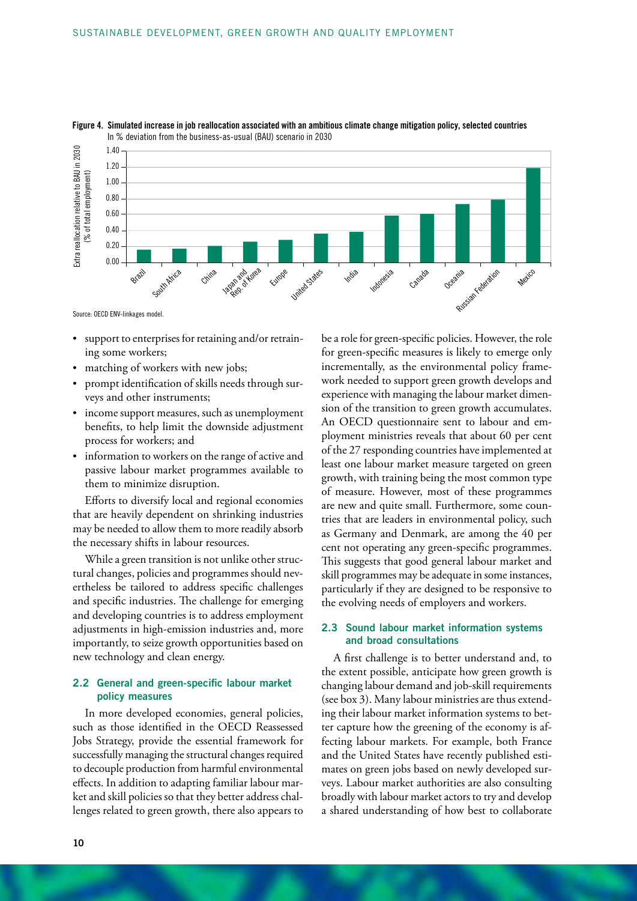



- • support to enterprises for retaining and/or retraining some workers;
- matching of workers with new jobs;
- prompt identification of skills needs through surveys and other instruments;
- • income support measures, such as unemployment benefits, to help limit the downside adjustment process for workers; and
- • information to workers on the range of active and passive labour market programmes available to them to minimize disruption.

Efforts to diversify local and regional economies that are heavily dependent on shrinking industries may be needed to allow them to more readily absorb the necessary shifts in labour resources.

While a green transition is not unlike other structural changes, policies and programmes should nevertheless be tailored to address specific challenges and specific industries. The challenge for emerging and developing countries is to address employment adjustments in high-emission industries and, more importantly, to seize growth opportunities based on new technology and clean energy.

#### 2.2 General and green-specific labour market policy measures

In more developed economies, general policies, such as those identified in the OECD Reassessed Jobs Strategy, provide the essential framework for successfully managing the structural changes required to decouple production from harmful environmental effects. In addition to adapting familiar labour market and skill policies so that they better address challenges related to green growth, there also appears to

be a role for green-specific policies. However, the role for green-specific measures is likely to emerge only incrementally, as the environmental policy framework needed to support green growth develops and experience with managing the labour market dimension of the transition to green growth accumulates. An OECD questionnaire sent to labour and employment ministries reveals that about 60 per cent of the 27 responding countries have implemented at least one labour market measure targeted on green growth, with training being the most common type of measure. However, most of these programmes are new and quite small. Furthermore, some countries that are leaders in environmental policy, such as Germany and Denmark, are among the 40 per cent not operating any green-specific programmes. This suggests that good general labour market and skill programmes may be adequate in some instances, particularly if they are designed to be responsive to the evolving needs of employers and workers.

## 2.3 Sound labour market information systems and broad consultations

A first challenge is to better understand and, to the extent possible, anticipate how green growth is changing labour demand and job-skill requirements (see box 3). Many labour ministries are thus extending their labour market information systems to better capture how the greening of the economy is affecting labour markets. For example, both France and the United States have recently published estimates on green jobs based on newly developed surveys. Labour market authorities are also consulting broadly with labour market actors to try and develop a shared understanding of how best to collaborate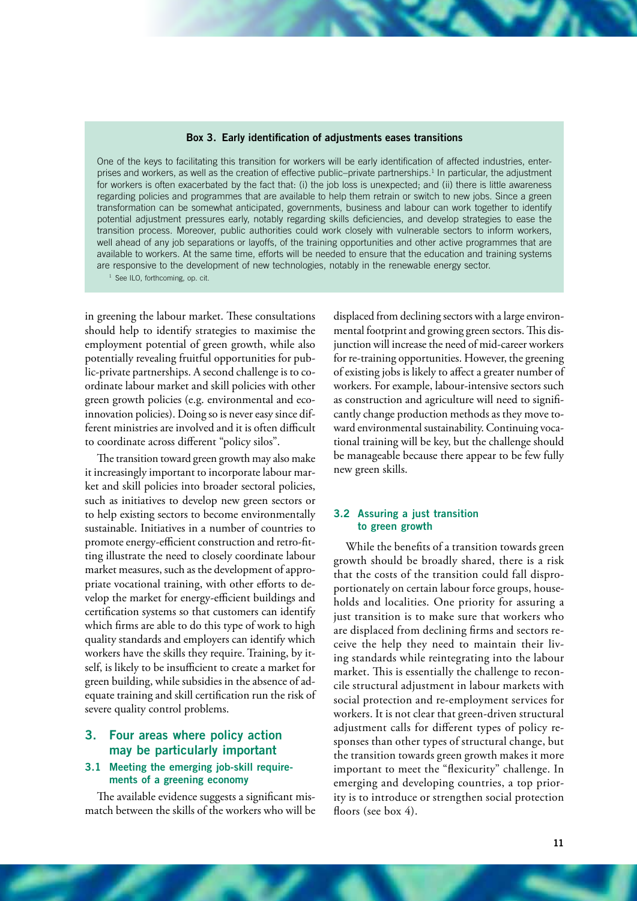#### Box 3. Early identification of adjustments eases transitions

One of the keys to facilitating this transition for workers will be early identification of affected industries, enterprises and workers, as well as the creation of effective public–private partnerships.<sup>1</sup> In particular, the adjustment for workers is often exacerbated by the fact that: (i) the job loss is unexpected; and (ii) there is little awareness regarding policies and programmes that are available to help them retrain or switch to new jobs. Since a green transformation can be somewhat anticipated, governments, business and labour can work together to identify potential adjustment pressures early, notably regarding skills deficiencies, and develop strategies to ease the transition process. Moreover, public authorities could work closely with vulnerable sectors to inform workers, well ahead of any job separations or layoffs, of the training opportunities and other active programmes that are available to workers. At the same time, efforts will be needed to ensure that the education and training systems are responsive to the development of new technologies, notably in the renewable energy sector.

<sup>1</sup> See ILO, forthcoming, op. cit.

in greening the labour market. These consultations should help to identify strategies to maximise the employment potential of green growth, while also potentially revealing fruitful opportunities for public-private partnerships. A second challenge is to coordinate labour market and skill policies with other green growth policies (e.g. environmental and ecoinnovation policies). Doing so is never easy since different ministries are involved and it is often difficult to coordinate across different "policy silos".

The transition toward green growth may also make it increasingly important to incorporate labour market and skill policies into broader sectoral policies, such as initiatives to develop new green sectors or to help existing sectors to become environmentally sustainable. Initiatives in a number of countries to promote energy-efficient construction and retro-fitting illustrate the need to closely coordinate labour market measures, such as the development of appropriate vocational training, with other efforts to develop the market for energy-efficient buildings and certification systems so that customers can identify which firms are able to do this type of work to high quality standards and employers can identify which workers have the skills they require. Training, by itself, is likely to be insufficient to create a market for green building, while subsidies in the absence of adequate training and skill certification run the risk of severe quality control problems.

# 3. Four areas where policy action may be particularly important

# 3.1 Meeting the emerging job-skill requirements of a greening economy

The available evidence suggests a significant mismatch between the skills of the workers who will be displaced from declining sectors with a large environmental footprint and growing green sectors. This disjunction will increase the need of mid-career workers for re-training opportunities. However, the greening of existing jobs is likely to affect a greater number of workers. For example, labour-intensive sectors such as construction and agriculture will need to significantly change production methods as they move toward environmental sustainability. Continuing vocational training will be key, but the challenge should be manageable because there appear to be few fully new green skills.

#### 3.2 Assuring a just transition to green growth

While the benefits of a transition towards green growth should be broadly shared, there is a risk that the costs of the transition could fall disproportionately on certain labour force groups, households and localities. One priority for assuring a just transition is to make sure that workers who are displaced from declining firms and sectors receive the help they need to maintain their living standards while reintegrating into the labour market. This is essentially the challenge to reconcile structural adjustment in labour markets with social protection and re-employment services for workers. It is not clear that green-driven structural adjustment calls for different types of policy responses than other types of structural change, but the transition towards green growth makes it more important to meet the "flexicurity" challenge. In emerging and developing countries, a top priority is to introduce or strengthen social protection floors (see box 4).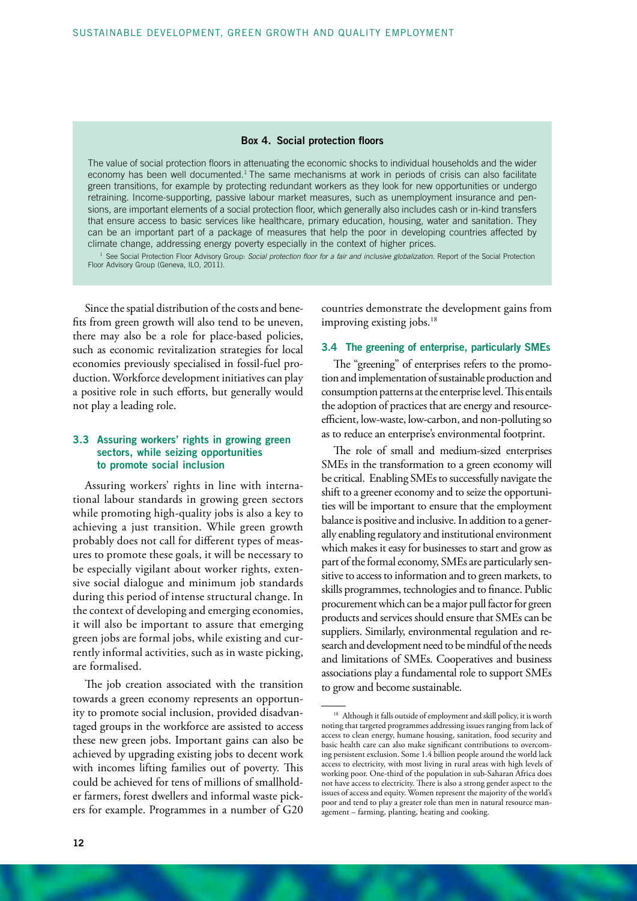#### Box 4. Social protection floors

The value of social protection floors in attenuating the economic shocks to individual households and the wider economy has been well documented.<sup>1</sup> The same mechanisms at work in periods of crisis can also facilitate green transitions, for example by protecting redundant workers as they look for new opportunities or undergo retraining. Income-supporting, passive labour market measures, such as unemployment insurance and pensions, are important elements of a social protection floor, which generally also includes cash or in-kind transfers that ensure access to basic services like healthcare, primary education, housing, water and sanitation. They can be an important part of a package of measures that help the poor in developing countries affected by climate change, addressing energy poverty especially in the context of higher prices.

<sup>1</sup> See Social Protection Floor Advisory Group: *Social protection floor for a fair and inclusive globalization*. Report of the Social Protection<br>Floor Advisory Group (Geneva, ILO, 2011).

Since the spatial distribution of the costs and benefits from green growth will also tend to be uneven, there may also be a role for place-based policies, such as economic revitalization strategies for local economies previously specialised in fossil-fuel production. Workforce development initiatives can play a positive role in such efforts, but generally would not play a leading role.

#### 3.3 Assuring workers' rights in growing green sectors, while seizing opportunities to promote social inclusion

Assuring workers' rights in line with international labour standards in growing green sectors while promoting high-quality jobs is also a key to achieving a just transition. While green growth probably does not call for different types of measures to promote these goals, it will be necessary to be especially vigilant about worker rights, extensive social dialogue and minimum job standards during this period of intense structural change. In the context of developing and emerging economies, it will also be important to assure that emerging green jobs are formal jobs, while existing and currently informal activities, such as in waste picking, are formalised.

The job creation associated with the transition towards a green economy represents an opportunity to promote social inclusion, provided disadvantaged groups in the workforce are assisted to access these new green jobs. Important gains can also be achieved by upgrading existing jobs to decent work with incomes lifting families out of poverty. This could be achieved for tens of millions of smallholder farmers, forest dwellers and informal waste pickers for example. Programmes in a number of G20 countries demonstrate the development gains from improving existing jobs.<sup>18</sup>

#### 3.4 The greening of enterprise, particularly SMEs

The "greening" of enterprises refers to the promotion and implementation of sustainable production and consumption patterns at the enterprise level. This entails the adoption of practices that are energy and resourceefficient, low-waste, low-carbon, and non-polluting so as to reduce an enterprise's environmental footprint.

The role of small and medium-sized enterprises SMEs in the transformation to a green economy will be critical. Enabling SMEs to successfully navigate the shift to a greener economy and to seize the opportunities will be important to ensure that the employment balance is positive and inclusive. In addition to a generally enabling regulatory and institutional environment which makes it easy for businesses to start and grow as part of the formal economy, SMEs are particularly sensitive to access to information and to green markets, to skills programmes, technologies and to finance. Public procurement which can be a major pull factor for green products and services should ensure that SMEs can be suppliers. Similarly, environmental regulation and research and development need to be mindful of the needs and limitations of SMEs. Cooperatives and business associations play a fundamental role to support SMEs to grow and become sustainable.

<sup>&</sup>lt;sup>18</sup> Although it falls outside of employment and skill policy, it is worth noting that targeted programmes addressing issues ranging from lack of access to clean energy, humane housing, sanitation, food security and basic health care can also make significant contributions to overcoming persistent exclusion. Some 1.4 billion people around the world lack access to electricity, with most living in rural areas with high levels of working poor. One-third of the population in sub-Saharan Africa does not have access to electricity. There is also a strong gender aspect to the issues of access and equity. Women represent the majority of the world's poor and tend to play a greater role than men in natural resource management – farming, planting, heating and cooking.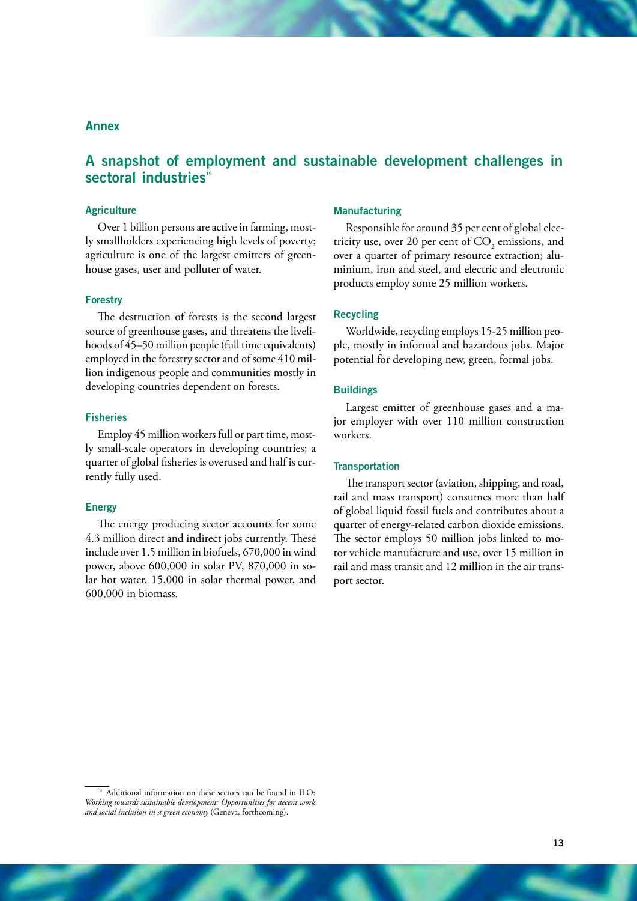# Annex

# A snapshot of employment and sustainable development challenges in sectoral industries<sup>19</sup>

#### **Agriculture**

Over 1 billion persons are active in farming, mostly smallholders experiencing high levels of poverty; agriculture is one of the largest emitters of greenhouse gases, user and polluter of water.

#### **Forestry**

The destruction of forests is the second largest source of greenhouse gases, and threatens the livelihoods of 45–50 million people (full time equivalents) employed in the forestry sector and of some 410 million indigenous people and communities mostly in developing countries dependent on forests.

#### **Fisheries**

Employ 45 million workers full or part time, mostly small-scale operators in developing countries; a quarter of global fisheries is overused and half is currently fully used.

#### **Energy**

The energy producing sector accounts for some 4.3 million direct and indirect jobs currently. These include over 1.5 million in biofuels, 670,000 in wind power, above 600,000 in solar PV, 870,000 in solar hot water, 15,000 in solar thermal power, and 600,000 in biomass.

# Manufacturing

Responsible for around 35 per cent of global electricity use, over 20 per cent of  $CO_2$  emissions, and over a quarter of primary resource extraction; aluminium, iron and steel, and electric and electronic products employ some 25 million workers.

#### Recycling

Worldwide, recycling employs 15-25 million people, mostly in informal and hazardous jobs. Major potential for developing new, green, formal jobs.

#### **Buildings**

Largest emitter of greenhouse gases and a major employer with over 110 million construction workers.

#### **Transportation**

The transport sector (aviation, shipping, and road, rail and mass transport) consumes more than half of global liquid fossil fuels and contributes about a quarter of energy-related carbon dioxide emissions. The sector employs 50 million jobs linked to motor vehicle manufacture and use, over 15 million in rail and mass transit and 12 million in the air transport sector.

<sup>&</sup>lt;sup>19</sup> Additional information on these sectors can be found in ILO: *Working towards sustainable development: Opportunities for decent work and social inclusion in a green economy* (Geneva, forthcoming).